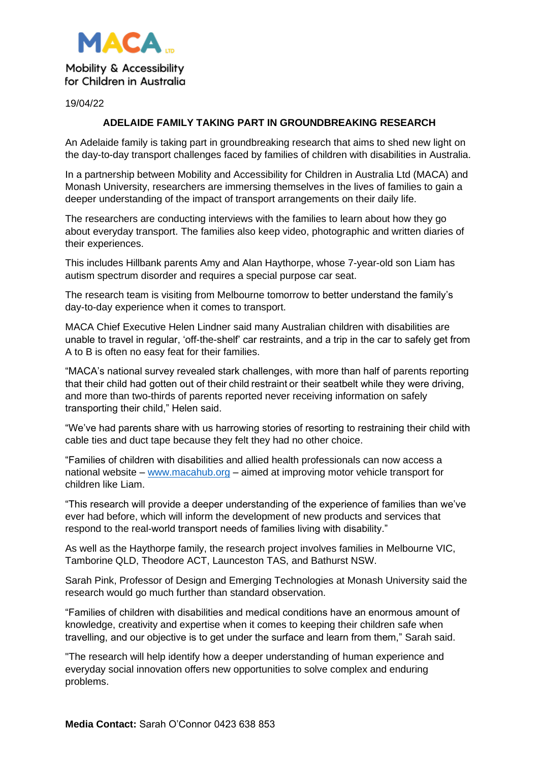

19/04/22

## **ADELAIDE FAMILY TAKING PART IN GROUNDBREAKING RESEARCH**

An Adelaide family is taking part in groundbreaking research that aims to shed new light on the day-to-day transport challenges faced by families of children with disabilities in Australia.

In a partnership between Mobility and Accessibility for Children in Australia Ltd (MACA) and Monash University, researchers are immersing themselves in the lives of families to gain a deeper understanding of the impact of transport arrangements on their daily life.

The researchers are conducting interviews with the families to learn about how they go about everyday transport. The families also keep video, photographic and written diaries of their experiences.

This includes Hillbank parents Amy and Alan Haythorpe, whose 7-year-old son Liam has autism spectrum disorder and requires a special purpose car seat.

The research team is visiting from Melbourne tomorrow to better understand the family's day-to-day experience when it comes to transport.

MACA Chief Executive Helen Lindner said many Australian children with disabilities are unable to travel in regular, 'off-the-shelf' car restraints, and a trip in the car to safely get from A to B is often no easy feat for their families.

"MACA's national survey revealed stark challenges, with more than half of parents reporting that their child had gotten out of their child restraint or their seatbelt while they were driving, and more than two-thirds of parents reported never receiving information on safely transporting their child," Helen said.

"We've had parents share with us harrowing stories of resorting to restraining their child with cable ties and duct tape because they felt they had no other choice.

"Families of children with disabilities and allied health professionals can now access a national website – [www.macahub.org](http://www.macahub.org/) – aimed at improving motor vehicle transport for children like Liam.

"This research will provide a deeper understanding of the experience of families than we've ever had before, which will inform the development of new products and services that respond to the real-world transport needs of families living with disability."

As well as the Haythorpe family, the research project involves families in Melbourne VIC, Tamborine QLD, Theodore ACT, Launceston TAS, and Bathurst NSW.

Sarah Pink, Professor of Design and Emerging Technologies at Monash University said the research would go much further than standard observation.

"Families of children with disabilities and medical conditions have an enormous amount of knowledge, creativity and expertise when it comes to keeping their children safe when travelling, and our objective is to get under the surface and learn from them," Sarah said.

"The research will help identify how a deeper understanding of human experience and everyday social innovation offers new opportunities to solve complex and enduring problems.